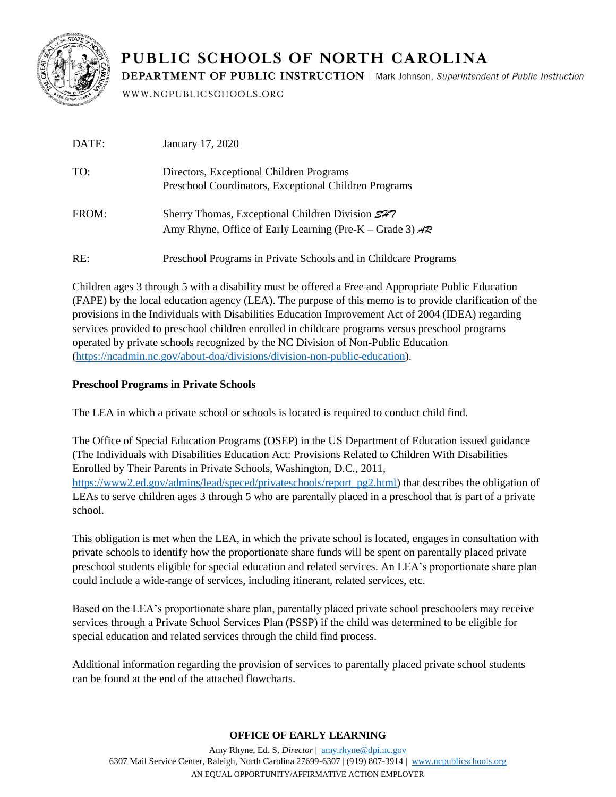

# PUBLIC SCHOOLS OF NORTH CAROLINA

**DEPARTMENT OF PUBLIC INSTRUCTION | Mark Johnson, Superintendent of Public Instruction** 

WWW.NCPUBLICSCHOOLS.ORG

| DATE: | January 17, 2020                                                                                               |
|-------|----------------------------------------------------------------------------------------------------------------|
| TO:   | Directors, Exceptional Children Programs<br>Preschool Coordinators, Exceptional Children Programs              |
| FROM: | Sherry Thomas, Exceptional Children Division 577<br>Amy Rhyne, Office of Early Learning (Pre-K – Grade 3) $AR$ |
| RE:   | Preschool Programs in Private Schools and in Childcare Programs                                                |

Children ages 3 through 5 with a disability must be offered a Free and Appropriate Public Education (FAPE) by the local education agency (LEA). The purpose of this memo is to provide clarification of the provisions in the Individuals with Disabilities Education Improvement Act of 2004 (IDEA) regarding services provided to preschool children enrolled in childcare programs versus preschool programs operated by private schools recognized by the NC Division of Non-Public Education [\(https://ncadmin.nc.gov/about-doa/divisions/division-non-public-education\)](https://ncadmin.nc.gov/about-doa/divisions/division-non-public-education).

## **Preschool Programs in Private Schools**

The LEA in which a private school or schools is located is required to conduct child find.

The Office of Special Education Programs (OSEP) in the US Department of Education issued guidance (The Individuals with Disabilities Education Act: Provisions Related to Children With Disabilities Enrolled by Their Parents in Private Schools, Washington, D.C., 2011, [https://www2.ed.gov/admins/lead/speced/privateschools/report\\_pg2.html\)](https://www2.ed.gov/admins/lead/speced/privateschools/report_pg2.html) that describes the obligation of LEAs to serve children ages 3 through 5 who are parentally placed in a preschool that is part of a private school.

This obligation is met when the LEA, in which the private school is located, engages in consultation with private schools to identify how the proportionate share funds will be spent on parentally placed private preschool students eligible for special education and related services. An LEA's proportionate share plan could include a wide-range of services, including itinerant, related services, etc.

Based on the LEA's proportionate share plan, parentally placed private school preschoolers may receive services through a Private School Services Plan (PSSP) if the child was determined to be eligible for special education and related services through the child find process.

Additional information regarding the provision of services to parentally placed private school students can be found at the end of the attached flowcharts.

### **OFFICE OF EARLY LEARNING**

Amy Rhyne, Ed. S, *Director* | [amy.rhyne@dpi.nc.gov](mailto:amy.rhyne@dpi.nc.gov) 6307 Mail Service Center, Raleigh, North Carolina 27699-6307 | (919) 807-3914 | [www.ncpublicschools.org](http://www.ncpublicschools.org/) AN EQUAL OPPORTUNITY/AFFIRMATIVE ACTION EMPLOYER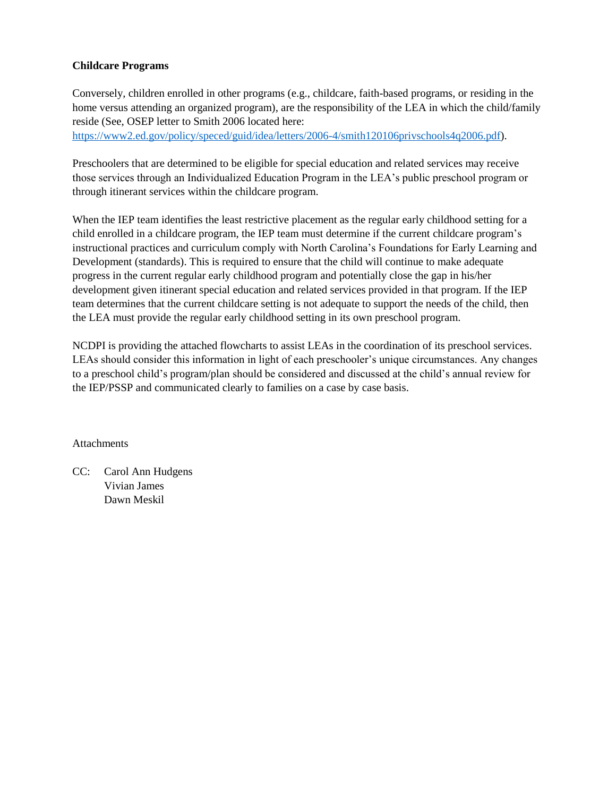#### **Childcare Programs**

Conversely, children enrolled in other programs (e.g., childcare, faith-based programs, or residing in the home versus attending an organized program), are the responsibility of the LEA in which the child/family reside (See, OSEP letter to Smith 2006 located here:

[https://www2.ed.gov/policy/speced/guid/idea/letters/2006-4/smith120106privschools4q2006.pdf\)](https://www2.ed.gov/policy/speced/guid/idea/letters/2006-4/smith120106privschools4q2006.pdf).

Preschoolers that are determined to be eligible for special education and related services may receive those services through an Individualized Education Program in the LEA's public preschool program or through itinerant services within the childcare program.

When the IEP team identifies the least restrictive placement as the regular early childhood setting for a child enrolled in a childcare program, the IEP team must determine if the current childcare program's instructional practices and curriculum comply with North Carolina's Foundations for Early Learning and Development (standards). This is required to ensure that the child will continue to make adequate progress in the current regular early childhood program and potentially close the gap in his/her development given itinerant special education and related services provided in that program. If the IEP team determines that the current childcare setting is not adequate to support the needs of the child, then the LEA must provide the regular early childhood setting in its own preschool program.

NCDPI is providing the attached flowcharts to assist LEAs in the coordination of its preschool services. LEAs should consider this information in light of each preschooler's unique circumstances. Any changes to a preschool child's program/plan should be considered and discussed at the child's annual review for the IEP/PSSP and communicated clearly to families on a case by case basis.

Attachments

CC: Carol Ann Hudgens Vivian James Dawn Meskil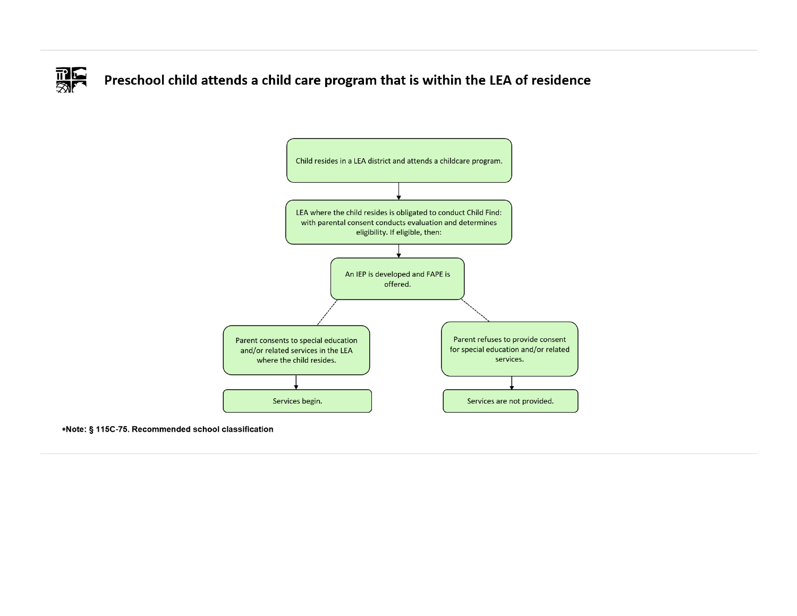

Preschool child attends a child care program that is within the LEA of residence



\*Note: § 115C-75. Recommended school classification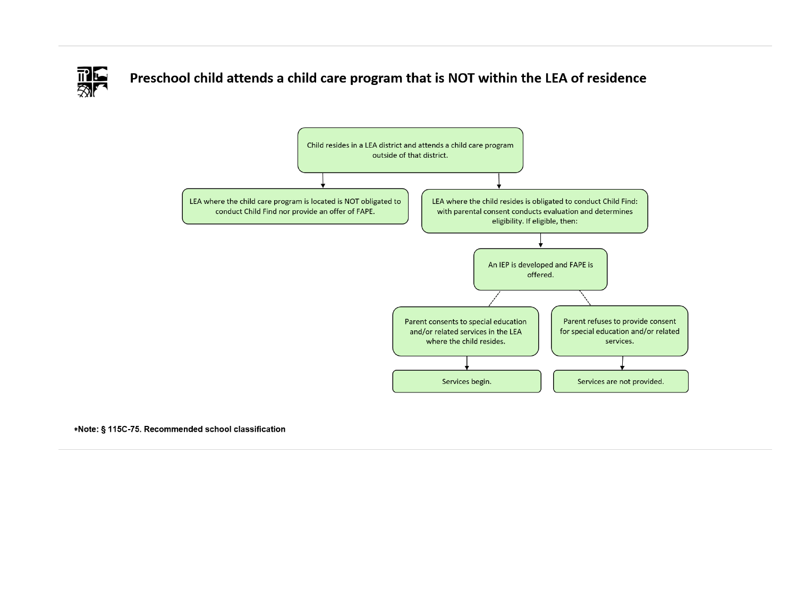

Preschool child attends a child care program that is NOT within the LEA of residence



\*Note: § 115C-75. Recommended school classification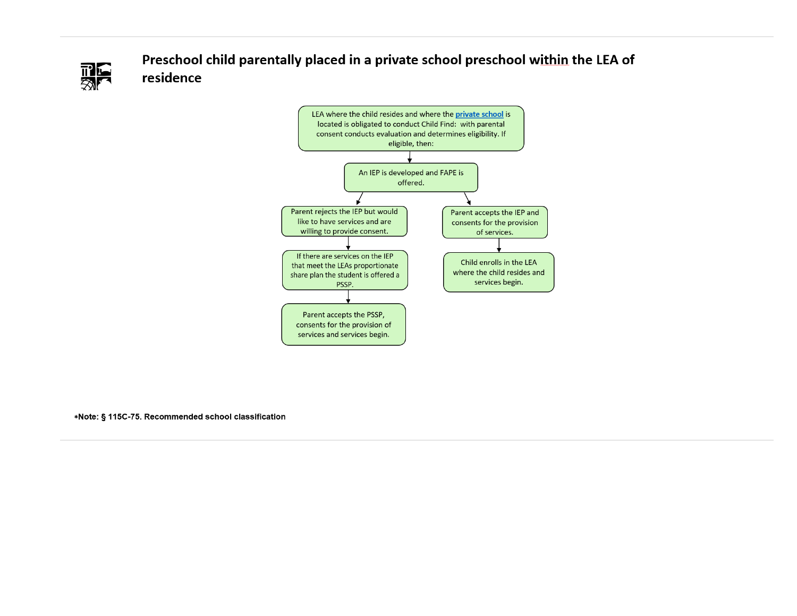

Preschool child parentally placed in a private school preschool within the LEA of residence



\*Note: § 115C-75. Recommended school classification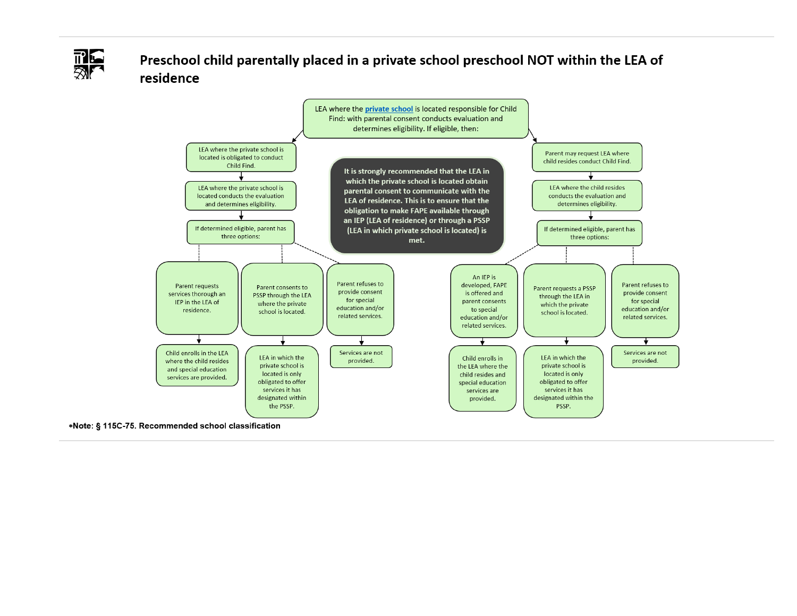

# Preschool child parentally placed in a private school preschool NOT within the LEA of residence



\*Note: § 115C-75. Recommended school classification